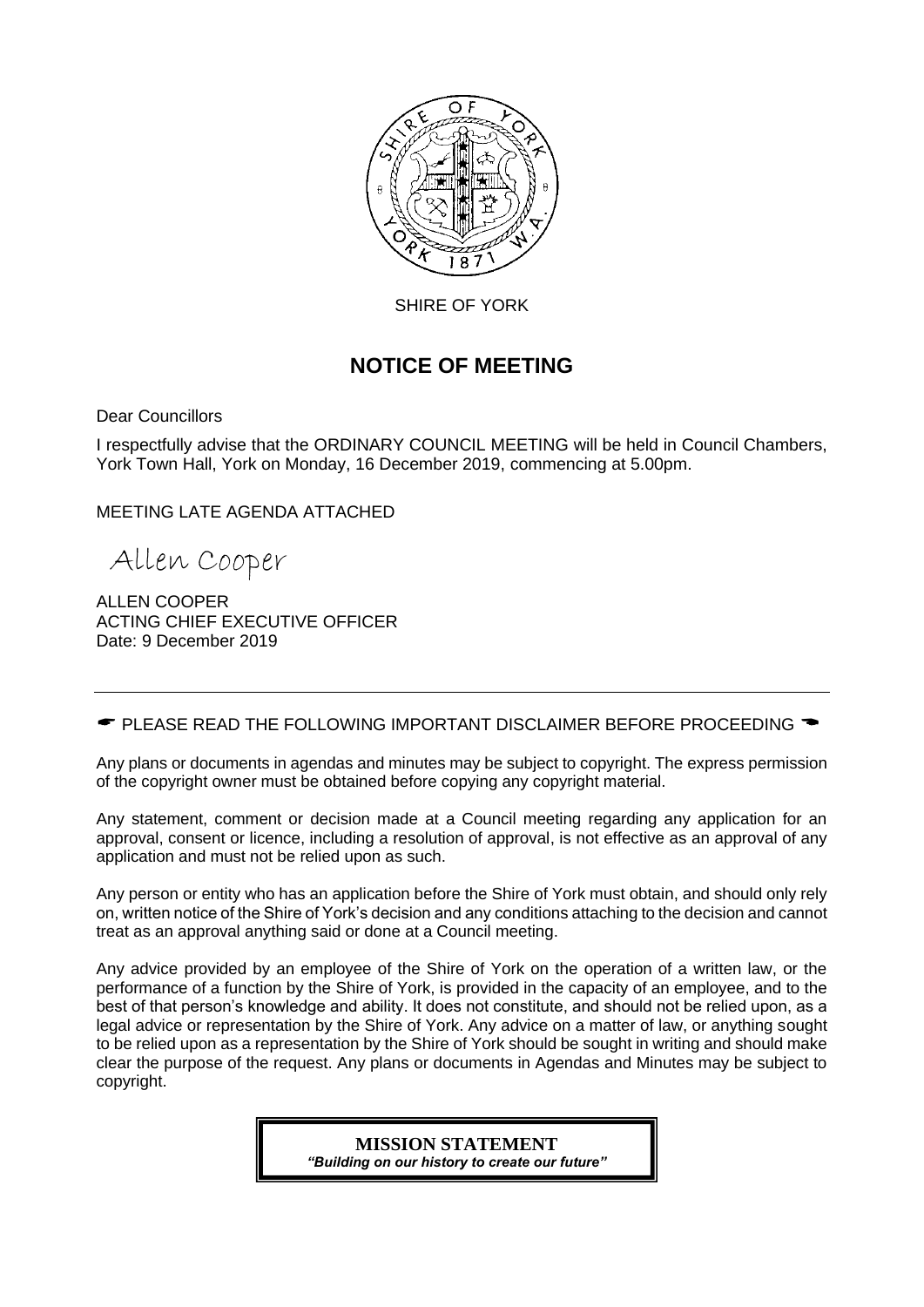

SHIRE OF YORK

# **NOTICE OF MEETING**

Dear Councillors

I respectfully advise that the ORDINARY COUNCIL MEETING will be held in Council Chambers, York Town Hall, York on Monday, 16 December 2019, commencing at 5.00pm.

MEETING LATE AGENDA ATTACHED

Allen Cooper

ALLEN COOPER ACTING CHIEF EXECUTIVE OFFICER Date: 9 December 2019

 $\bullet$  PLEASE READ THE FOLLOWING IMPORTANT DISCLAIMER BEFORE PROCEEDING  $\bullet$ 

Any plans or documents in agendas and minutes may be subject to copyright. The express permission of the copyright owner must be obtained before copying any copyright material.

Any statement, comment or decision made at a Council meeting regarding any application for an approval, consent or licence, including a resolution of approval, is not effective as an approval of any application and must not be relied upon as such.

Any person or entity who has an application before the Shire of York must obtain, and should only rely on, written notice of the Shire of York's decision and any conditions attaching to the decision and cannot treat as an approval anything said or done at a Council meeting.

Any advice provided by an employee of the Shire of York on the operation of a written law, or the performance of a function by the Shire of York, is provided in the capacity of an employee, and to the best of that person's knowledge and ability. It does not constitute, and should not be relied upon, as a legal advice or representation by the Shire of York. Any advice on a matter of law, or anything sought to be relied upon as a representation by the Shire of York should be sought in writing and should make clear the purpose of the request. Any plans or documents in Agendas and Minutes may be subject to copyright.

> **MISSION STATEMENT** *"Building on our history to create our future"*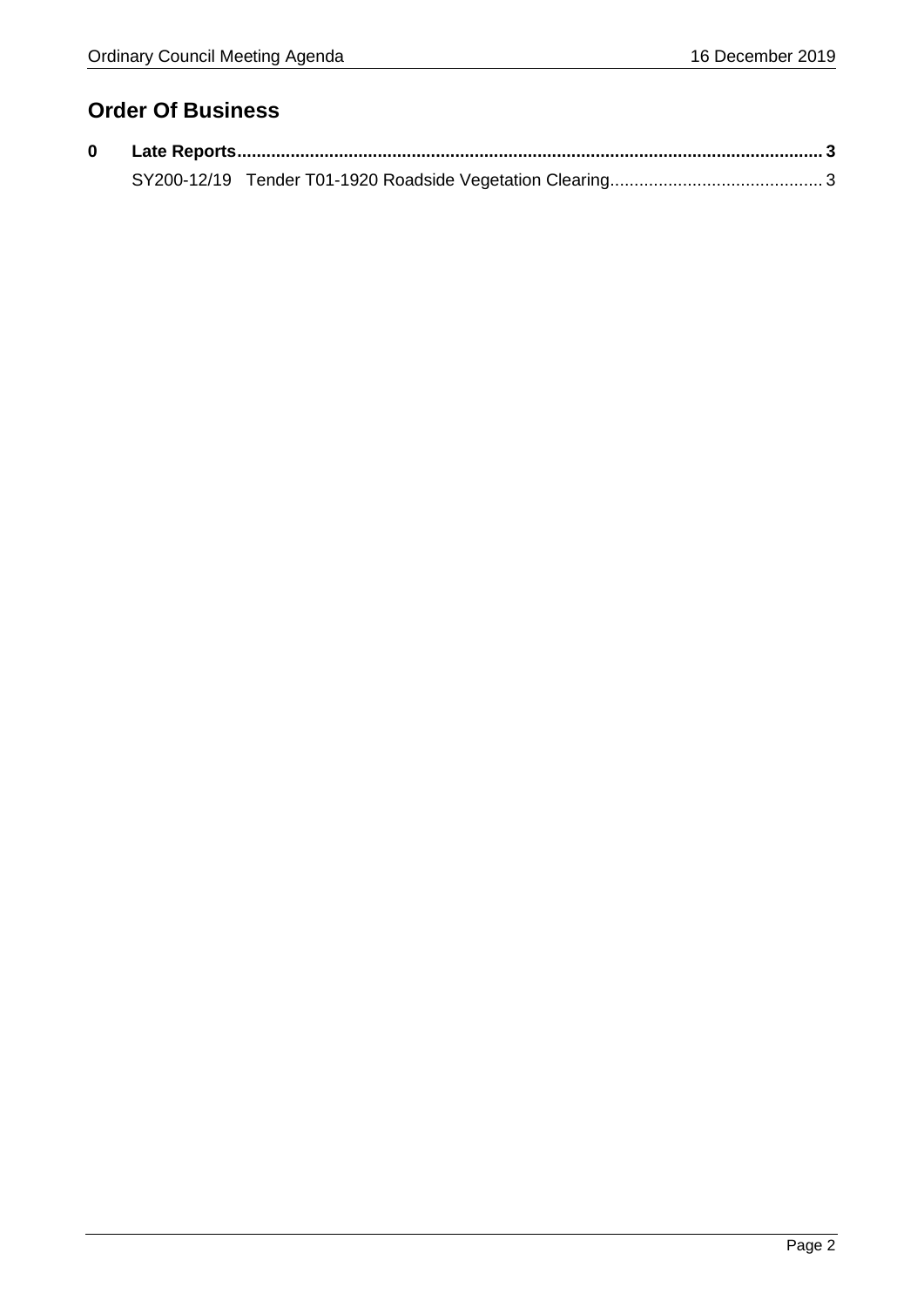# **Order Of Business**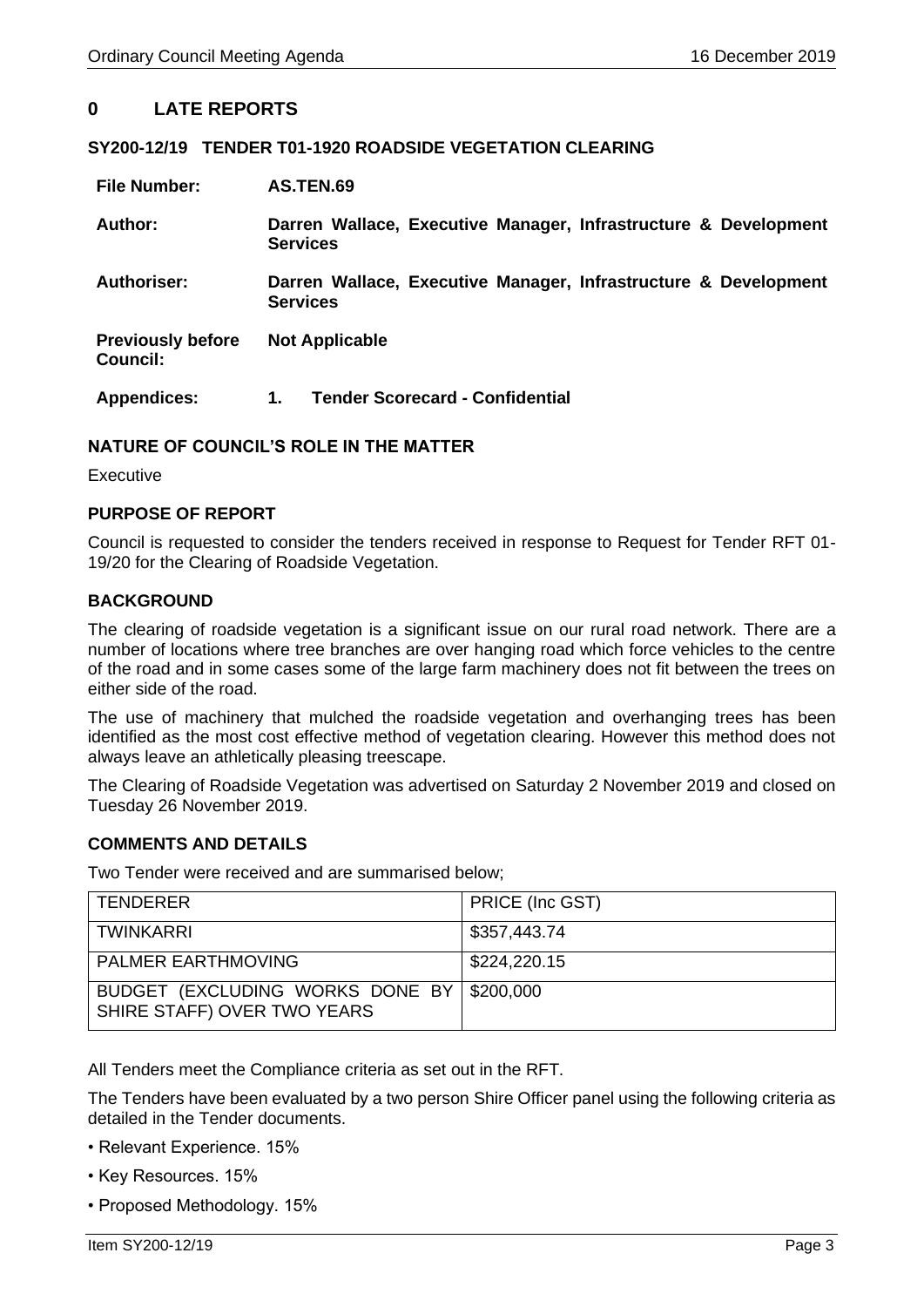# <span id="page-2-0"></span>**0 LATE REPORTS**

## <span id="page-2-1"></span>**SY200-12/19 TENDER T01-1920 ROADSIDE VEGETATION CLEARING**

| <b>File Number:</b>                         | AS.TEN.69                                                                          |  |  |  |
|---------------------------------------------|------------------------------------------------------------------------------------|--|--|--|
| Author:                                     | Darren Wallace, Executive Manager, Infrastructure & Development<br><b>Services</b> |  |  |  |
| <b>Authoriser:</b>                          | Darren Wallace, Executive Manager, Infrastructure & Development<br><b>Services</b> |  |  |  |
| <b>Previously before</b><br><b>Council:</b> | <b>Not Applicable</b>                                                              |  |  |  |
| <b>Appendices:</b>                          | <b>Tender Scorecard - Confidential</b><br>1.                                       |  |  |  |

## **NATURE OF COUNCIL'S ROLE IN THE MATTER**

Executive

## **PURPOSE OF REPORT**

Council is requested to consider the tenders received in response to Request for Tender RFT 01- 19/20 for the Clearing of Roadside Vegetation.

## **BACKGROUND**

The clearing of roadside vegetation is a significant issue on our rural road network. There are a number of locations where tree branches are over hanging road which force vehicles to the centre of the road and in some cases some of the large farm machinery does not fit between the trees on either side of the road.

The use of machinery that mulched the roadside vegetation and overhanging trees has been identified as the most cost effective method of vegetation clearing. However this method does not always leave an athletically pleasing treescape.

The Clearing of Roadside Vegetation was advertised on Saturday 2 November 2019 and closed on Tuesday 26 November 2019.

#### **COMMENTS AND DETAILS**

Two Tender were received and are summarised below;

| TENDERER                                                                 | PRICE (Inc GST) |
|--------------------------------------------------------------------------|-----------------|
| TWINKARRI                                                                | \$357,443.74    |
| <b>PALMER EARTHMOVING</b>                                                | \$224,220.15    |
| BUDGET (EXCLUDING WORKS DONE BY \$200,000<br>SHIRE STAFF) OVER TWO YEARS |                 |

All Tenders meet the Compliance criteria as set out in the RFT.

The Tenders have been evaluated by a two person Shire Officer panel using the following criteria as detailed in the Tender documents.

- Relevant Experience. 15%
- Key Resources. 15%
- Proposed Methodology. 15%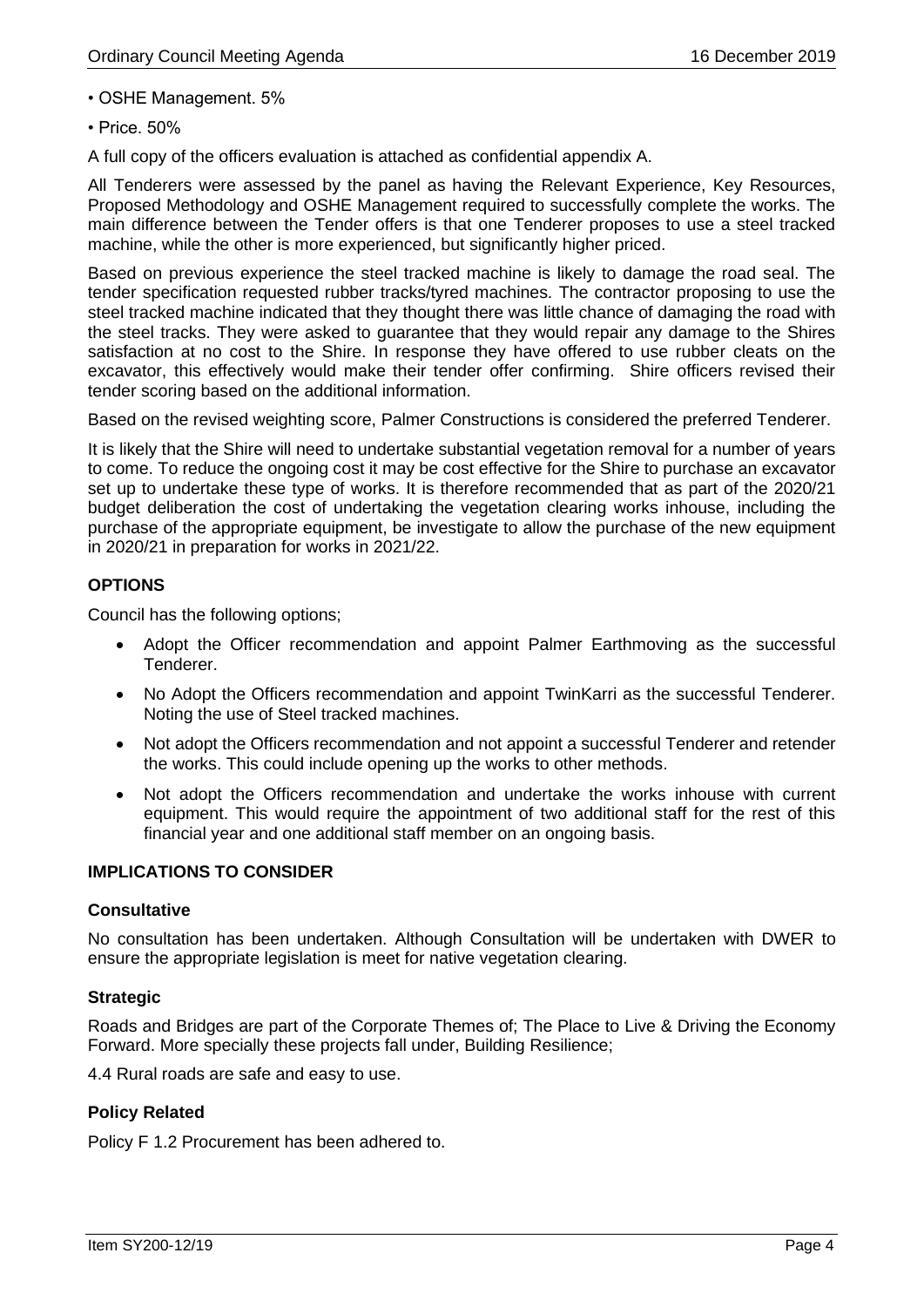• OSHE Management. 5%

• Price. 50%

A full copy of the officers evaluation is attached as confidential appendix A.

All Tenderers were assessed by the panel as having the Relevant Experience, Key Resources, Proposed Methodology and OSHE Management required to successfully complete the works. The main difference between the Tender offers is that one Tenderer proposes to use a steel tracked machine, while the other is more experienced, but significantly higher priced.

Based on previous experience the steel tracked machine is likely to damage the road seal. The tender specification requested rubber tracks/tyred machines. The contractor proposing to use the steel tracked machine indicated that they thought there was little chance of damaging the road with the steel tracks. They were asked to guarantee that they would repair any damage to the Shires satisfaction at no cost to the Shire. In response they have offered to use rubber cleats on the excavator, this effectively would make their tender offer confirming. Shire officers revised their tender scoring based on the additional information.

Based on the revised weighting score, Palmer Constructions is considered the preferred Tenderer.

It is likely that the Shire will need to undertake substantial vegetation removal for a number of years to come. To reduce the ongoing cost it may be cost effective for the Shire to purchase an excavator set up to undertake these type of works. It is therefore recommended that as part of the 2020/21 budget deliberation the cost of undertaking the vegetation clearing works inhouse, including the purchase of the appropriate equipment, be investigate to allow the purchase of the new equipment in 2020/21 in preparation for works in 2021/22.

## **OPTIONS**

Council has the following options;

- Adopt the Officer recommendation and appoint Palmer Earthmoving as the successful Tenderer.
- No Adopt the Officers recommendation and appoint TwinKarri as the successful Tenderer. Noting the use of Steel tracked machines.
- Not adopt the Officers recommendation and not appoint a successful Tenderer and retender the works. This could include opening up the works to other methods.
- Not adopt the Officers recommendation and undertake the works inhouse with current equipment. This would require the appointment of two additional staff for the rest of this financial year and one additional staff member on an ongoing basis.

## **IMPLICATIONS TO CONSIDER**

## **Consultative**

No consultation has been undertaken. Although Consultation will be undertaken with DWER to ensure the appropriate legislation is meet for native vegetation clearing.

## **Strategic**

Roads and Bridges are part of the Corporate Themes of; The Place to Live & Driving the Economy Forward. More specially these projects fall under, Building Resilience;

4.4 Rural roads are safe and easy to use.

## **Policy Related**

Policy F 1.2 Procurement has been adhered to.